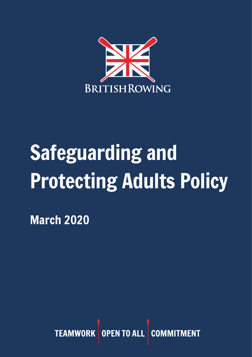

# Safeguarding and Protecting Adults Policy

March 2020

TEAMWORK OPEN TO ALL COM **MENT**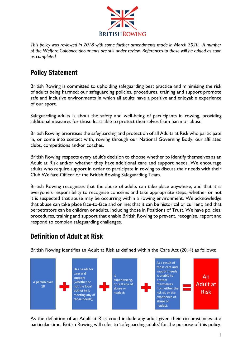

*This policy was reviewed in 2018 with some further amendments made in March 2020. A number of the Welfare Guidance documents are still under review. References to those will be added as soon as completed.*

# Policy Statement

British Rowing is committed to upholding safeguarding best practice and minimising the risk of adults being harmed; our safeguarding policies, procedures, training and support promote safe and inclusive environments in which all adults have a positive and enjoyable experience of our sport.

Safeguarding adults is about the safety and well-being of participants in rowing, providing additional measures for those least able to protect themselves from harm or abuse.

British Rowing prioritises the safeguarding and protection of all Adults at Risk who participate in, or come into contact with, rowing through our National Governing Body, our affiliated clubs, competitions and/or coaches.

British Rowing respects every adult's decision to choose whether to identify themselves as an Adult at Risk and/or whether they have additional care and support needs. We encourage adults who require support in order to participate in rowing to discuss their needs with their Club Welfare Officer or the British Rowing Safeguarding Team.

British Rowing recognises that the abuse of adults can take place anywhere, and that it is everyone's responsibility to recognise concerns and take appropriate steps, whether or not it is suspected that abuse may be occurring within a rowing environment. We acknowledge that abuse can take place face-to-face and online; that it can be historical or current; and that perpetrators can be children or adults, including those in Positions of Trust. We have policies, procedures, training and support that enable British Rowing to prevent, recognise, report and respond to complex safeguarding challenges.

# Definition of Adult at Risk



British Rowing identifies an Adult at Risk as defined within the Care Act (2014) as follows:

As the definition of an Adult at Risk could include any adult given their circumstances at a particular time, British Rowing will refer to 'safeguarding adults' for the purpose of this policy.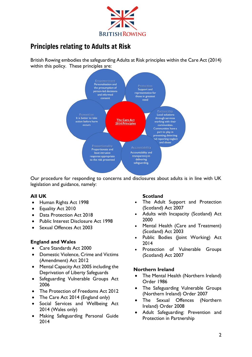

# Principles relating to Adults at Risk

British Rowing embodies the safeguarding Adults at Risk principles within the Care Act (2014) within this policy. These principles are:



Our procedure for responding to concerns and disclosures about adults is in line with UK legislation and guidance, namely:

#### **All UK**

- Human Rights Act 1998
- Equality Act 2010
- Data Protection Act 2018
- Public Interest Disclosure Act 1998
- Sexual Offences Act 2003

#### **England and Wales**

- Care Standards Act 2000
- Domestic Violence, Crime and Victims (Amendment) Act 2012
- Mental Capacity Act 2005 including the Deprivation of Liberty Safeguards
- Safeguarding Vulnerable Groups Act 2006
- The Protection of Freedoms Act 2012
- The Care Act 2014 (England only)
- Social Services and Wellbeing Act 2014 (Wales only)
- Making Safeguarding Personal Guide 2014

#### **Scotland**

- The Adult Support and Protection (Scotland) Act 2007
- Adults with Incapacity (Scotland) Act 2000
- Mental Health (Care and Treatment) (Scotland) Act 2003
- Public Bodies (Joint Working) Act 2014
- Protection of Vulnerable Groups (Scotland) Act 2007

#### **Northern Ireland**

- The Mental Health (Northern Ireland) Order 1986
- The Safeguarding Vulnerable Groups (Northern Ireland) Order 2007
- The Sexual Offences (Northern Ireland) Order 2008
- Adult Safeguarding: Prevention and Protection in Partnership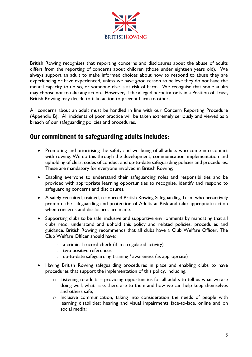

British Rowing recognises that reporting concerns and disclosures about the abuse of adults differs from the reporting of concerns about children (those under eighteen years old). We always support an adult to make informed choices about how to respond to abuse they are experiencing or have experienced, unless we have good reason to believe they do not have the mental capacity to do so, or someone else is at risk of harm. We recognise that some adults may choose not to take any action. However, if the alleged perpetrator is in a Position of Trust, British Rowing may decide to take action to prevent harm to others.

All concerns about an adult must be handled in line with our Concern Reporting Procedure (Appendix B). All incidents of poor practice will be taken extremely seriously and viewed as a breach of our safeguarding policies and procedures.

# Our commitment to safeguarding adults includes:

- Promoting and prioritising the safety and wellbeing of all adults who come into contact with rowing. We do this through the development, communication, implementation and upholding of clear, codes of conduct and up-to-date safeguarding policies and procedures. These are mandatory for everyone involved in British Rowing;
- Enabling everyone to understand their safeguarding roles and responsibilities and be provided with appropriate learning opportunities to recognise, identify and respond to safeguarding concerns and disclosures.
- A safely recruited, trained, resourced British Rowing Safeguarding Team who proactively promote the safeguarding and protection of Adults at Risk and take appropriate action when concerns and disclosures are made.
- Supporting clubs to be safe, inclusive and supportive environments by mandating that all clubs read, understand and uphold this policy and related policies, procedures and guidance. British Rowing recommends that all clubs have a Club Welfare Officer. The Club Welfare Officer should have:
	- o a criminal record check (if in a regulated activity)
	- o two positive references
	- o up-to-date safeguarding training / awareness (as appropriate)
- Having British Rowing safeguarding procedures in place and enabling clubs to have procedures that support the implementation of this policy, including:
	- $\circ$  Listening to adults providing opportunities for all adults to tell us what we are doing well, what risks there are to them and how we can help keep themselves and others safe;
	- o Inclusive communication, taking into consideration the needs of people with learning disabilities; hearing and visual impairments face-to-face, online and on social media;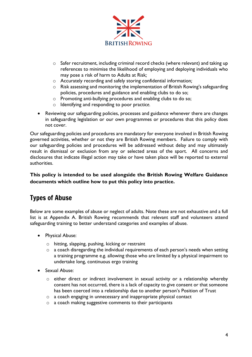

- o Safer recruitment, including criminal record checks (where relevant) and taking up references to minimise the likelihood of employing and deploying individuals who may pose a risk of harm to Adults at Risk*;*
- o Accurately recording and safely storing confidential information*;*
- $\circ$  Risk assessing and monitoring the implementation of British Rowing's safeguarding policies, procedures and guidance and enabling clubs to do so;
- o Promoting anti-bullying procedures and enabling clubs to do so;
- o Identifying and responding to poor practic*e.*
- Reviewing our safeguarding policies, processes and guidance whenever there are changes in safeguarding legislation or our own programmes or procedures that this policy does not cover.

Our safeguarding policies and procedures are mandatory for everyone involved in British Rowing governed activities, whether or not they are British Rowing members. Failure to comply with our safeguarding policies and procedures will be addressed without delay and may ultimately result in dismissal or exclusion from any or selected areas of the sport. All concerns and disclosures that indicate illegal action may take or have taken place will be reported to external authorities.

**This policy is intended to be used alongside the British Rowing Welfare Guidance documents which outline how to put this policy into practice.** 

# Types of Abuse

Below are some examples of abuse or neglect of adults. Note these are not exhaustive and a full list is at Appendix A. British Rowing recommends that relevant staff and volunteers attend safeguarding training to better understand categories and examples of abuse.

- Physical Abuse:
	- o hitting, slapping, pushing, kicking or restraint
	- o a coach disregarding the individual requirements of each person's needs when setting a training programme e.g. allowing those who are limited by a physical impairment to undertake long, continuous ergo training
- Sexual Abuse:
	- o either direct or indirect involvement in sexual activity or a relationship whereby consent has not occurred, there is a lack of capacity to give consent or that someone has been coerced into a relationship due to another person's Position of Trust
	- o a coach engaging in unnecessary and inappropriate physical contact
	- o a coach making suggestive comments to their participants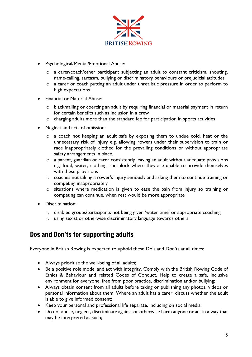

- Psychological/Mental/Emotional Abuse:
	- $\circ$  a carer/coach/other participant subjecting an adult to constant criticism, shouting, name-calling, sarcasm, bullying or discriminatory behaviours or prejudicial attitudes
	- o a carer or coach putting an adult under unrealistic pressure in order to perform to high expectations
- Financial or Material Abuse:
	- o blackmailing or coercing an adult by requiring financial or material payment in return for certain benefits such as inclusion in a crew
	- o charging adults more than the standard fee for participation in sports activities
- Neglect and acts of omission:
	- o a coach not keeping an adult safe by exposing them to undue cold, heat or the unnecessary risk of injury e.g. allowing rowers under their supervision to train or race inappropriately clothed for the prevailing conditions or without appropriate safety arrangements in place.
	- o a parent, guardian or carer consistently leaving an adult without adequate provisions e.g. food, water, clothing, sun block where they are unable to provide themselves with these provisions
	- o coaches not taking a rower's injury seriously and asking them to continue training or competing inappropriately
	- o situations where medication is given to ease the pain from injury so training or competing can continue, when rest would be more appropriate
- Discrimination:
	- o disabled groups/participants not being given 'water time' or appropriate coaching
	- o using sexist or otherwise discriminatory language towards others

## Dos and Don'ts for supporting adults

Everyone in British Rowing is expected to uphold these Do's and Don'ts at all times:

- Always prioritise the well-being of all adults;
- Be a positive role model and act with integrity. Comply with the British Rowing Code of Ethics & Behaviour and related Codes of Conduct. Help to create a safe, inclusive environment for everyone, free from poor practice, discrimination and/or bullying;
- Always obtain consent from all adults before taking or publishing any photos, videos or personal information about them. Where an adult has a carer, discuss whether the adult is able to give informed consent;
- Keep your personal and professional life separate, including on social media;
- Do not abuse, neglect, discriminate against or otherwise harm anyone or act in a way that may be interpreted as such;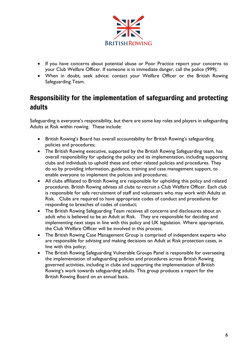

- If you have concerns about potential abuse or Poor Practice report your concerns to your Club Welfare Officer. If someone is in immediate danger, call the police (999);
- When in doubt, seek advice: contact your Welfare Officer or the British Rowing Safeguarding Team.

# Responsibility for the implementation of safeguarding and protecting adults

Safeguarding is everyone's responsibility, but there are some key roles and players in safeguarding Adults at Risk within rowing. These include:

- British Rowing's Board has overall accountability for British Rowing's safeguarding policies and procedures;
- The British Rowing executive, supported by the British Rowing Safeguarding team, has overall responsibility for updating the policy and its implementation, including supporting clubs and individuals to uphold these and other related policies and procedures. They do so by providing information, guidance, training and case management support, to enable everyone to implement the policies and procedures;
- All clubs affiliated to British Rowing are responsible for upholding this policy and related procedures. British Rowing advises all clubs to recruit a Club Welfare Officer. Each club is responsible for safe recruitment of staff and volunteers who may work with Adults at Risk. Clubs are required to have appropriate codes of conduct and procedures for responding to breaches of codes of conduct;
- The British Rowing Safeguarding Team receives all concerns and disclosures about an adult who is believed to be an Adult at Risk. They are responsible for deciding and implementing next steps in line with this policy and UK legislation. Where appropriate, the Club Welfare Officer will be involved in this process;
- The British Rowing Case Management Group is comprised of independent experts who are responsible for advising and making decisions on Adult at Risk protection cases, in line with this policy;
- The British Rowing Safeguarding Vulnerable Groups Panel is responsible for overseeing the implementation of safeguarding policies and procedures across British Rowing governed activities, including in clubs and supporting the implementation of British Rowing's work towards safeguarding adults. This group produces a report for the British Rowing Board on an annual basis.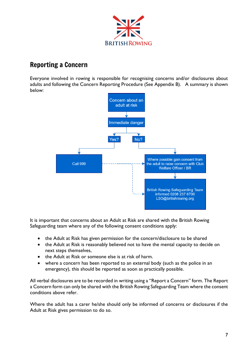

# Reporting a Concern

Everyone involved in rowing is responsible for recognising concerns and/or disclosures about adults and following the Concern Reporting Procedure (See Appendix B). A summary is shown below:



It is important that concerns about an Adult at Risk are shared with the British Rowing Safeguarding team where any of the following consent conditions apply:

- the Adult at Risk has given permission for the concern/disclosure to be shared
- the Adult at Risk is reasonably believed not to have the mental capacity to decide on next steps themselves,
- the Adult at Risk or someone else is at risk of harm.
- where a concern has been reported to an external body (such as the police in an emergency), this should be reported as soon as practically possible.

All verbal disclosures are to be recorded in writing using a "Report a Concern" form. The Report a Concern form can only be shared with the British Rowing Safeguarding Team where the consent conditions above refer.

Where the adult has a carer he/she should only be informed of concerns or disclosures if the Adult at Risk gives permission to do so.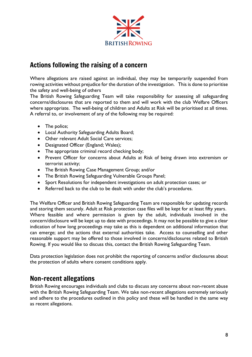

# Actions following the raising of a concern

Where allegations are raised against an individual, they may be temporarily suspended from rowing activities without prejudice for the duration of the investigation. This is done to prioritise the safety and well-being of others

The British Rowing Safeguarding Team will take responsibility for assessing all safeguarding concerns/disclosures that are reported to them and will work with the club Welfare Officers where appropriate. The well-being of children and Adults at Risk will be prioritised at all times. A referral to, or involvement of any of the following may be required:

- The police;
- Local Authority Safeguarding Adults Board;
- Other relevant Adult Social Care services;
- Designated Officer (England; Wales);
- The appropriate criminal record checking body;
- Prevent Officer for concerns about Adults at Risk of being drawn into extremism or terrorist activity;
- The British Rowing Case Management Group; and/or
- The British Rowing Safeguarding Vulnerable Groups Panel;
- Sport Resolutions for independent investigations on adult protection cases; or
- Referred back to the club to be dealt with under the club's procedures.

The Welfare Officer and British Rowing Safeguarding Team are responsible for updating records and storing them securely. Adult at Risk protection case files will be kept for at least fifty years. Where feasible and where permission is given by the adult, individuals involved in the concern/disclosure will be kept up to date with proceedings. It may not be possible to give a clear indication of how long proceedings may take as this is dependent on additional information that can emerge; and the actions that external authorities take. Access to counselling and other reasonable support may be offered to those involved in concerns/disclosures related to British Rowing. If you would like to discuss this, contact the British Rowing Safeguarding Team.

Data protection legislation does not prohibit the reporting of concerns and/or disclosures about the protection of adults where consent conditions apply.

## Non-recent allegations

British Rowing encourages individuals and clubs to discuss any concerns about non-recent abuse with the British Rowing Safeguarding Team. We take non-recent allegations extremely seriously and adhere to the procedures outlined in this policy and these will be handled in the same way as recent allegations.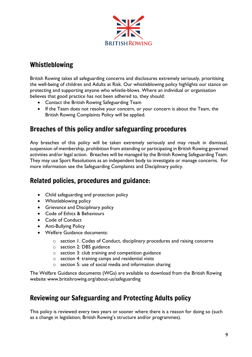

# Whistleblowing

British Rowing takes all safeguarding concerns and disclosures extremely seriously, prioritising the well-being of children and Adults at Risk. Our whistleblowing policy highlights our stance on protecting and supporting anyone who whistle-blows. Where an individual or organisation believes that good practice has not been adhered to, they should:

- Contact the British Rowing Safeguarding Team
- If the Team does not resolve your concern, or your concern is about the Team, the British Rowing Complaints Policy will be applied.

# Breaches of this policy and/or safeguarding procedures

Any breaches of this policy will be taken extremely seriously and may result in dismissal, suspension of membership, prohibition from attending or participating in British Rowing governed activities and/or legal action. Breaches will be managed by the British Rowing Safeguarding Team. They may use Sport Resolutions as an independent body to investigate or manage concerns. For more information see the Safeguarding Complaints and Disciplinary policy.

## Related policies, procedures and guidance:

- Child safeguarding and protection policy
- Whistleblowing policy
- Grievance and Disciplinary policy
- Code of Ethics & Behaviours
- Code of Conduct
- Anti-Bullying Policy
- Welfare Guidance documents:
	- o section 1. Codes of Conduct, disciplinary procedures and raising concerns
	- o section 2: DBS guidance
	- o section 3: club training and competition guidance
	- o section 4: training camps and residential visits
	- o section 5: use of social media and information sharing

The Welfare Guidance documents (WGs) are available to download from the British Rowing website www.britishrowing.org/about-us/safeguarding

# Reviewing our Safeguarding and Protecting Adults policy

This policy is reviewed every two years or sooner where there is a reason for doing so (such as a change in legislation; British Rowing's structure and/or programmes).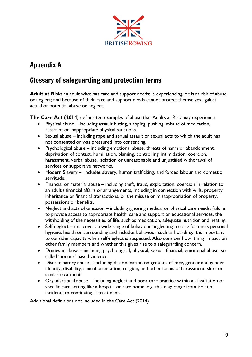

# Appendix A

# Glossary of safeguarding and protection terms

**Adult at Risk:** an adult who: has care and support needs; is experiencing, or is at risk of abuse or neglect; and because of their care and support needs cannot protect themselves against actual or potential abuse or neglect.

**The Care Act (2014**) defines ten examples of abuse that Adults at Risk may experience:

- Physical abuse including assault hitting, slapping, pushing, misuse of medication, restraint or inappropriate physical sanctions.
- Sexual abuse including rape and sexual assault or sexual acts to which the adult has not consented or was pressured into consenting.
- Psychological abuse including emotional abuse, threats of harm or abandonment, deprivation of contact, humiliation, blaming, controlling, intimidation, coercion, harassment, verbal abuse, isolation or unreasonable and unjustified withdrawal of services or supportive networks.
- Modern Slavery includes slavery, human trafficking, and forced labour and domestic servitude.
- Financial or material abuse including theft, fraud, exploitation, coercion in relation to an adult's financial affairs or arrangements, including in connection with wills, property, inheritance or financial transactions, or the misuse or misappropriation of property, possessions or benefits.
- Neglect and acts of omission including ignoring medical or physical care needs, failure to provide access to appropriate health, care and support or educational services, the withholding of the necessities of life, such as medication, adequate nutrition and heating.
- Self-neglect this covers a wide range of behaviour neglecting to care for one's personal hygiene, health or surrounding and includes behaviour such as hoarding. It is important to consider capacity when self-neglect is suspected. Also consider how it may impact on other family members and whether this gives rise to a safeguarding concern.
- Domestic abuse including psychological, physical, sexual, financial, emotional abuse, socalled 'honour'-based violence.
- Discriminatory abuse including discrimination on grounds of race, gender and gender identity, disability, sexual orientation, religion, and other forms of harassment, slurs or similar treatment.
- Organisational abuse including neglect and poor care practice within an institution or specific care setting like a hospital or care home, e.g. this may range from isolated incidents to continuing ill-treatment.

Additional definitions not included in the Care Act (2014)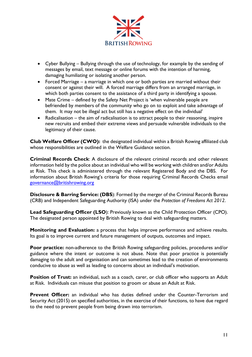

- Cyber Bullying Bullying through the use of technology, for example by the sending of messages by email, text message or online forums with the intention of harming, damaging humiliating or isolating another person.
- Forced Marriage a marriage in which one or both parties are married without their consent or against their will. A forced marriage differs from an arranged marriage, in which both parties consent to the assistance of a third party in identifying a spouse.
- Mate Crime defined by the Safety Net Project is 'when vulnerable people are befriended by members of the community who go on to exploit and take advantage of them. It may not be illegal act but still has a negative effect on the individual'
- Radicalisation the aim of radicalisation is to attract people to their reasoning, inspire new recruits and embed their extreme views and persuade vulnerable individuals to the legitimacy of their cause.

**Club Welfare Officer (CWO):** the designated individual within a British Rowing affiliated club whose responsibilities are outlined in the Welfare Guidance section.

**Criminal Records Check**: A disclosure of the relevant criminal records and other relevant information held by the police about an individual who will be working with children and/or Adults at Risk. This check is administered through the relevant Registered Body and the DBS. For information about British Rowing's criteria for those requiring Criminal Records Checks email [governance@britishrowing.org](mailto:governance@britishrowing.org)

**Disclosure & Barring Service: (DBS**): Formed by the merger of the Criminal Records Bureau (CRB) and Independent Safeguarding Authority (ISA) under the *Protection of Freedoms Act 2012*.

**Lead Safeguarding Officer (LSO**): Previously known as the Child Protection Officer (CPO). The designated person appointed by British Rowing to deal with safeguarding matters.

**Monitoring and Evaluation:** a process that helps improve performance and achieve results. Its goal is to improve current and future management of outputs, outcomes and impact.

**Poor practice:** non-adherence to the British Rowing safeguarding policies, procedures and/or guidance where the intent or outcome is not abuse. Note that poor practice is potentially damaging to the adult and organisation and can sometimes lead to the creation of environments conducive to abuse as well as leading to concerns about an individual's motivation.

**Position of Trust:** an individual, such as a coach, carer, or club officer who supports an Adult at Risk. Individuals can misuse that position to groom or abuse an Adult at Risk.

**Prevent Officer:** an individual who has duties defined under the Counter-Terrorism and Security Act (2015) on specified authorities, in the exercise of their functions, to have due regard to the need to prevent people from being drawn into terrorism.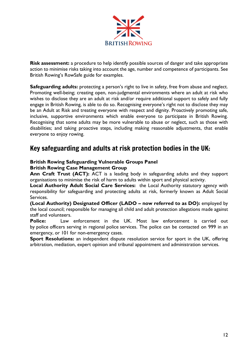

**Risk assessment:** a procedure to help identify possible sources of danger and take appropriate action to minimise risks taking into account the age, number and competence of participants. See British Rowing's RowSafe guide for examples.

**Safeguarding adults:** protecting a person's right to live in safety, free from abuse and neglect. Promoting well-being; creating open, non-judgmental environments where an adult at risk who wishes to disclose they are an adult at risk and/or require additional support to safely and fully engage in British Rowing, is able to do so. Recognising everyone's right not to disclose they may be an Adult at Risk and treating everyone with respect and dignity. Proactively promoting safe, inclusive, supportive environments which enable everyone to participate in British Rowing. Recognising that some adults may be more vulnerable to abuse or neglect, such as those with disabilities; and taking proactive steps, including making reasonable adjustments, that enable everyone to enjoy rowing.

## Key safeguarding and adults at risk protection bodies in the UK:

#### **British Rowing Safeguarding Vulnerable Groups Panel British Rowing Case Management Group**

**Ann Craft Trust (ACT):** ACT is a leading body in safeguarding adults and they support organisations to minimise the risk of harm to adults within sport and physical activity.

**Local Authority Adult Social Care Services:** the Local Authority statutory agency with responsibility for safeguarding and protecting adults at risk, formerly known as Adult Social Services.

**(Local Authority) Designated Officer (LADO – now referred to as DO):** employed by the local council; responsible for managing all child and adult protection allegations made against staff and volunteers.

**Police:** Law enforcement in the UK. Most law enforcement is carried out by police officers serving in regional police services. The police can be contacted on 999 in an emergency, or 101 for non-emergency cases.

**Sport Resolutions:** an independent dispute resolution service for sport in the UK, offering arbitration, mediation, expert opinion and tribunal appointment and administration services.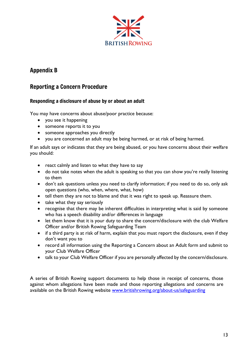

## Appendix B

### Reporting a Concern Procedure

#### Responding a disclosure of abuse by or about an adult

You may have concerns about abuse/poor practice because:

- you see it happening
- someone reports it to you
- someone approaches you directly
- you are concerned an adult may be being harmed, or at risk of being harmed.

If an adult says or indicates that they are being abused, or you have concerns about their welfare you should:

- react calmly and listen to what they have to say
- do not take notes when the adult is speaking so that you can show you're really listening to them
- don't ask questions unless you need to clarify information; if you need to do so, only ask open questions (who, when, where, what, how)
- tell them they are not to blame and that it was right to speak up. Reassure them.
- take what they say seriously
- recognise that there may be inherent difficulties in interpreting what is said by someone who has a speech disability and/or differences in language
- let them know that it is your duty to share the concern/disclosure with the club Welfare Officer and/or British Rowing Safeguarding Team
- if a third party is at risk of harm, explain that you must report the disclosure, even if they don't want you to
- record all information using the Reporting a Concern about an Adult form and submit to your Club Welfare Officer
- talk to your Club Welfare Officer if you are personally affected by the concern/disclosure.

A series of British Rowing support documents to help those in receipt of concerns, those against whom allegations have been made and those reporting allegations and concerns are available on the British Rowing website [www.britishrowing.org/about-us/safeguarding](http://www.britishrowing.org/about-us/safeguarding)